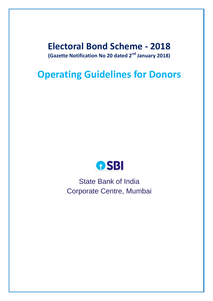# **Electoral Bond Scheme - 2018 (Gazette Notification No 20 dated 2nd January 2018)**

# **Operating Guidelines for Donors**



State Bank of India Corporate Centre, Mumbai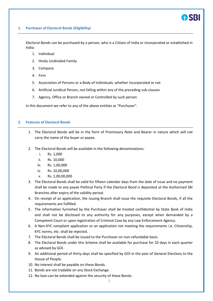#### **1. Purchaser of Electoral Bonds (Eligibility)**

Electoral Bonds can be purchased by a person, who is a Citizen of India or incorporated or established in India:

- 1. Individual
- 2. Hindu Undivided Family
- 3. Company
- 4. Firm
- 5. Association of Persons or a Body of Individuals, whether incorporated or not
- 6. Artificial Juridical Person, not falling within any of the preceding sub-clauses
- 7. Agency, Office or Branch owned or Controlled by such person

In this document we refer to any of the above entities as "Purchaser".

#### **2. Features of Electoral Bonds**

- 1. The Electoral Bonds will be in the form of Promissory Note and Bearer in nature which will not carry the name of the buyer or payee.
- 2. The Electoral Bonds will be available in the following denominations:
	- i. Rs. 1,000
	- ii. Rs. 10,000
	- iii. Rs. 1,00,000
	- iv. Rs. 10,00,000
	- v. Rs. 1,00,00,000
- 3. The Electoral Bonds shall be valid for fifteen calendar days from the date of issue and no payment shall be made to any payee Political Party if the Electoral Bond is deposited at the Authorised SBI Branches after expiry of the validity period.
- 4. On receipt of an application, the issuing Branch shall issue the requisite Electoral Bonds, if all the requirements are fulfilled.
- 5. The information furnished by the Purchaser shall be treated confidential by State Bank of India and shall not be disclosed to any authority for any purposes, except when demanded by a Competent Court or upon registration of Criminal Case by any Law Enforcement Agency.
- 6. A Non-KYC compliant application or an application not meeting the requirements i.e. Citizenship, KYC norms, etc. shall be rejected.
- 7. The Electoral Bonds shall be issued to the Purchaser on non-refundable basis.
- 8. The Electoral Bonds under this Scheme shall be available for purchase for 10 days in each quarter as advised by GOI.
- 9. An additional period of thirty days shall be specified by GOI in the year of General Elections to the House of People.
- 10. No interest shall be payable on these Bonds.
- 11. Bonds are not tradable on any Stock Exchange.
- 12. No loan can be extended against the security of these Bonds.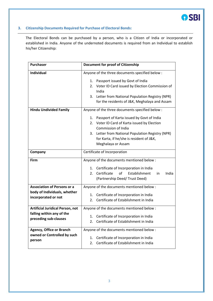

#### **3. Citizenship Documents Required for Purchase of Electoral Bonds:**

The Electoral Bonds can be purchased by a person, who is a Citizen of India or incorporated or established in India. Anyone of the undernoted documents is required from an Individual to establish his/her Citizenship:

| <b>Purchaser</b>                                                                              | <b>Document for proof of Citizenship</b>                                                                                                                                                                                                         |  |  |
|-----------------------------------------------------------------------------------------------|--------------------------------------------------------------------------------------------------------------------------------------------------------------------------------------------------------------------------------------------------|--|--|
| <b>Individual</b>                                                                             | Anyone of the three documents specified below :                                                                                                                                                                                                  |  |  |
|                                                                                               | Passport issued by Govt of India<br>1.<br>Voter ID Card issued by Election Commission of<br>2.<br>India<br>3.<br>Letter from National Population Registry (NPR)<br>for the residents of J&K, Meghalaya and Assam                                 |  |  |
| <b>Hindu Undivided Family</b>                                                                 | Anyone of the three documents specified below :                                                                                                                                                                                                  |  |  |
|                                                                                               | Passport of Karta issued by Govt of India<br>1.<br>2. Voter ID Card of Karta issued by Election<br>Commission of India<br>Letter from National Population Registry (NPR)<br>3.<br>for Karta, if he/she is resident of J&K,<br>Meghalaya or Assam |  |  |
| Company                                                                                       | Certificate of Incorporation                                                                                                                                                                                                                     |  |  |
| Firm                                                                                          | Anyone of the documents mentioned below :<br>1.<br>Certificate of Incorporation in India<br>of<br>Establishment<br>Certificate<br>2.<br>India<br>in<br>(Partnership Deed/Trust Deed)                                                             |  |  |
| <b>Association of Persons or a</b><br>body of Individuals, whether<br>incorporated or not     | Anyone of the documents mentioned below :<br>Certificate of Incorporation in India<br>1.<br>Certificate of Establishment in India<br>2.                                                                                                          |  |  |
| <b>Artificial Juridical Person, not</b><br>falling within any of the<br>preceding sub-clauses | Anyone of the documents mentioned below :<br>Certificate of Incorporation in India<br>1.<br>Certificate of Establishment in India<br>2.                                                                                                          |  |  |
| <b>Agency, Office or Branch</b><br>owned or Controlled by such<br>person                      | Anyone of the documents mentioned below :<br>Certificate of Incorporation in India<br>1.<br>Certificate of Establishment in India<br>2.                                                                                                          |  |  |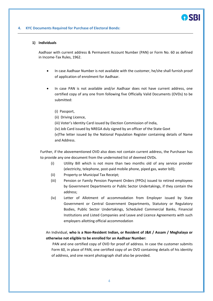

#### **4. KYC Documents Required for Purchase of Electoral Bonds:**

#### **1) Individuals**

Aadhaar with current address & Permanent Account Number (PAN) or Form No. 60 as defined in Income-Tax Rules, 1962.

- In case Aadhaar Number is not available with the customer, he/she shall furnish proof of application of enrolment for Aadhaar.
- In case PAN is not available and/or Aadhaar does not have current address, one certified copy of any one from following five Officially Valid Documents (OVDs) to be submitted:
	- (i) Passport,
	- (ii) Driving Licence,
	- (iii) Voter's Identity Card issued by Election Commission of India,
	- (iv) Job Card issued by NREGA duly signed by an officer of the State Govt

(v)The letter issued by the National Population Register containing details of Name and Address.

Further, if the abovementioned OVD also does not contain current address, the Purchaser has to provide any one document from the undernoted list of deemed OVDs.

- (i) Utility Bill which is not more than two months old of any service provider (electricity, telephone, post-paid mobile phone, piped gas, water bill);
- (ii) Property or Municipal Tax Receipt;
- (iii) Pension or Family Pension Payment Orders (PPOs) issued to retired employees by Government Departments or Public Sector Undertakings, if they contain the address;
- (iv) Letter of Allotment of accommodation from Employer issued by State Government or Central Government Departments, Statutory or Regulatory Bodies, Public Sector Undertakings, Scheduled Commercial Banks, Financial Institutions and Listed Companies and Leave and Licence Agreements with such employers allotting official accommodation

An Individual, **who is a Non-Resident Indian, or Resident of J&K / Assam / Meghalaya or otherwise not eligible to be enrolled for an Aadhaar Number:**

PAN and one certified copy of OVD for proof of address. In case the customer submits Form 60, in place of PAN, one certified copy of an OVD containing details of his identity of address, and one recent photograph shall also be provided.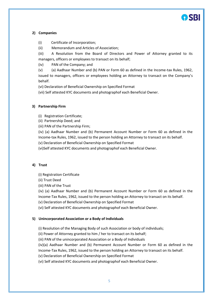### **2) Companies**

- (i) Certificate of Incorporation;
- (ii) Memorandum and Articles of Association;

(iii) A Resolution from the Board of Directors and Power of Attorney granted to its managers, officers or employees to transact on its behalf;

(iv) PAN of the Company; and

(v) (a) Aadhaar Number and (b) PAN or Form 60 as defined in the Income-tax Rules, 1962, issued to managers, officers or employees holding an Attorney to transact on the Company's behalf.

(vi) Declaration of Beneficial Ownership on Specified Format

(vii) Self attested KYC documents and photographof each Beneficial Owner.

## **3) Partnership Firm**

- (i) Registration Certificate;
- (ii) Partnership Deed; and

(iii) PAN of the Partnership Firm;

(iv) (a) Aadhaar Number and (b) Permanent Account Number or Form 60 as defined in the Income-tax Rules, 1962, issued to the person holding an Attorney to transact on its behalf.

(v) Declaration of Beneficial Ownership on Specified Format

(vi)Self attested KYC documents and photographof each Beneficial Owner.

# **4) Trust**

(i) Registration Certificate

(ii) Trust Deed

(iii) PAN of the Trust

(iv) (a) Aadhaar Number and (b) Permanent Account Number or Form 60 as defined in the Income-Tax Rules, 1962, issued to the person holding an Attorney to transact on its behalf.

(v) Declaration of Beneficial Ownership on Specified Format

(vi) Self attested KYC documents and photographof each Beneficial Owner.

### **5) Unincorporated Association or a Body of Individuals**

(i) Resolution of the Managing Body of such Association or body of individuals;

(ii) Power of Attorney granted to him / her to transact on its behalf;

(iii) PAN of the unincorporated Association or a Body of Individuals

(iv)(a) Aadhaar Number and (b) Permanent Account Number or Form 60 as defined in the Income-Tax Rules, 1962, issued to the person holding an Attorney to transact on its behalf.

(v) Declaration of Beneficial Ownership on Specified Format

(vi) Self attested KYC documents and photographof each Beneficial Owner.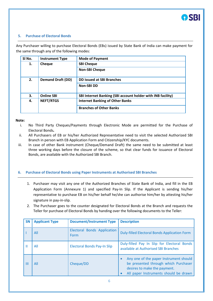#### **5. Purchase of Electoral Bonds**

Any Purchaser willing to purchase Electoral Bonds (EBs) issued by State Bank of India can make payment for the same through any of the following modes:

| SI No. | <b>Instrument Type</b>   | <b>Mode of Payment</b>                                      |
|--------|--------------------------|-------------------------------------------------------------|
| 1.     | Cheque                   | <b>SBI Cheque</b>                                           |
|        |                          | <b>Non-SBI Cheque</b>                                       |
| 2.     | <b>Demand Draft (DD)</b> | DD issued at SBI Branches                                   |
|        |                          | <b>Non-SBIDD</b>                                            |
| 3.     | <b>Online SBI</b>        | SBI Internet Banking (SBI account holder with INB facility) |
| 4.     | <b>NEFT/RTGS</b>         | <b>Internet Banking of Other Banks</b>                      |
|        |                          | <b>Branches of Other Banks</b>                              |

#### **Note:**

- i. No Third Party Cheques/Payments through Electronic Mode are permitted for the Purchase of Electoral Bonds*.*
- ii. All Purchasers of EB or his/her Authorized Representative need to visit the selected Authorized SBI Branch in person with EB Application Form and Citizenship/KYC documents.
- iii. In case of other Bank instrument (Cheque/Demand Draft) the same need to be submitted at least three working days before the closure of the scheme, so that clear funds for issuance of Electoral Bonds, are available with the Authorized SBI Branch.

### **6. Purchase of Electoral Bonds using Paper Instruments at Authorised SBI Branches**

- 1. Purchaser may visit any one of the Authorized Branches of State Bank of India, and fill in the EB Application Form (Annexure 1) and specified Pay-In Slip. If the Applicant is sending his/her representative to purchase EB on his/her behalf he/she can authorise him/her by attesting his/her signature in pay-in-slip.
- 2. The Purchaser goes to the counter designated for Electoral Bonds at the Branch and requests the Teller for purchase of Electoral Bonds by handing over the following documents to the Teller:

| <b>SN</b> | <b>Applicant Type</b> | <b>Document/Instrument Type</b>            | <b>Description</b>                                                                                                                                      |
|-----------|-----------------------|--------------------------------------------|---------------------------------------------------------------------------------------------------------------------------------------------------------|
|           | All                   | <b>Electoral Bonds Application</b><br>Form | Duly-filled Electoral Bonds Application Form                                                                                                            |
|           | All                   | <b>Electoral Bonds Pay-In Slip</b>         | Duly-filled Pay In Slip for Electoral Bonds<br>available at Authorised SBI Branches                                                                     |
| Ш         | All                   | Cheque/DD                                  | Any one of the paper Instrument should<br>be presented through which Purchaser<br>desires to make the payment.<br>All paper Instruments should be drawn |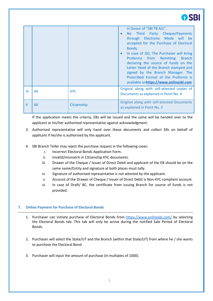|        |     |             | in favour of "SBI TB A/c".<br>No Third Party Cheque/Payments<br>$\bullet$                                                                                                                                                                                                                                                         |
|--------|-----|-------------|-----------------------------------------------------------------------------------------------------------------------------------------------------------------------------------------------------------------------------------------------------------------------------------------------------------------------------------|
|        |     |             | through Electronic Mode will be<br>accepted for the Purchase of Electoral<br>Bonds.<br>In case of DD, The Purchaser will bring<br>Proforma from Remitting<br>Branch<br>declaring the source of funds on the<br>Letter Head of the Branch stamped and<br>signed by the Branch Manager. The<br>Prescribed Format of the Proforma is |
|        |     |             | available onhttps://www.onlinesbi.com                                                                                                                                                                                                                                                                                             |
| IV     | All | <b>KYC</b>  | Original along with self-attested copies of<br>Documents as explained in Point No. 4                                                                                                                                                                                                                                              |
| $\vee$ | All | Citizenship | Original along with self-attested Documents<br>as explained in Point No. 3                                                                                                                                                                                                                                                        |

If the application meets the criteria, EBs will be issued and the same will be handed over to the applicant or his/her authorised representative against acknowledgment.

- 3. Authorised representative will only hand over these documents and collect EBs on behalf of applicant if he/she is authorised by the applicant.
- 4. SBI Branch Teller may reject the purchase request in the following cases:
	- i. Incorrect Electoral Bonds Application Form.
	- ii. Invalid/mismatch in Citizenship KYC documents.
	- iii. Drawer of the Cheque / Issuer of Direct Debit and applicant of the EB should be on the same name/Entity and signature at both places must tally.
	- iv. Signature of authorised representative is not attested by the applicant.
	- v. Account of the Drawer of Cheque / Issuer of Direct Debit is Non-KYC compliant account.
	- vi. In case of Draft/ BC, the certificate from issuing Branch for source of funds is not provided.

# **7. Online Payment for Purchase of Electoral Bonds**

- 1. Purchaser can initiate purchase of Electoral Bonds from<https://www.onlinesbi.com/> by selecting the Electoral Bonds tab. This tab will only be active during the notified Sale Period of Electoral Bonds.
- 2. Purchaser will select the State/UT and the Branch (within that State/UT) from where he / she wants to purchase the Electoral Bond.
- 3. Purchaser will input the amount of purchase (in multiples of 1000).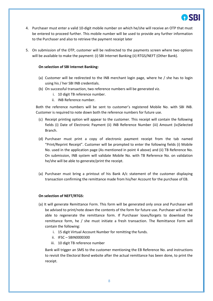

- 4. Purchaser must enter a valid 10-digit mobile number on which he/she will receive an OTP that must be entered to proceed further. This mobile number will be used to provide any further information to the Purchaser and also to retrieve the payment receipt later
- 5. On submission of the OTP, customer will be redirected to the payments screen where two options will be available to make the payment: (i) SBI Internet Banking (ii) RTGS/NEFT (Other Bank).

#### **On selection of SBI Internet Banking:**

- (a) Customer will be redirected to the INB merchant login page, where he / she has to login using his / her SBI INB credentials.
- (b) On successful transaction, two reference numbers will be generated viz.
	- i. 10 digit TB reference number.
	- ii. INB Reference number.

Both the reference numbers will be sent to customer's registered Mobile No. with SBI INB. Customer is required to note down both the reference numbers for future use.

- (c) Receipt printing option will appear to the customer. This receipt will contain the following fields (i) Date of Electronic Payment (ii) INB Reference Number (iii) Amount (iv)Selected Branch.
- (d) Purchaser must print a copy of electronic payment receipt from the tab named "Print/Reprint Receipt". Customer will be prompted to enter the following fields (i) Mobile No. used in the application page (As mentioned in point 4 above) and (ii) TB Reference No. On submission, INB system will validate Mobile No. with TB Reference No. on validation he/she will be able to generate/print the receipt.
- (a) Purchaser must bring a printout of his Bank A/c statement of the customer displaying transaction confirming the remittance made from his/her Account for the purchase of EB.

#### **On selection of NEFT/RTGS:**

- (a) It will generate Remittance Form. This form will be generated only once and Purchaser will be advised to print/note down the contents of the form for future use. Purchaser will not be able to regenerate the remittance form. If Purchaser loses/forgets to download the remittance form, he / she must initiate a fresh transaction. The Remittance Form will contain the following:
	- i. 15 digit Virtual Account Number for remitting the funds.
	- ii. IFSC SBIN0000300
	- iii. 10 digit TB reference number

Bank will trigger an SMS to the customer mentioning the EB Reference No. and instructions to revisit the Electoral Bond website after the actual remittance has been done, to print the receipt.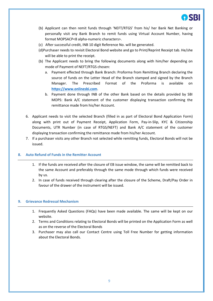

- (b) Applicant can then remit funds through 'NEFT/RTGS' from his/ her Bank Net Banking or personally visit any Bank Branch to remit funds using Virtual Account Number, having format MOPSACP<8 alpha-numeric characters>.
- (c) After successful credit, INB 10 digit Reference No. will be generated.
- (d)Purchaser needs to revisit Electoral Bond website and go to Print/Reprint Receipt tab. He/she will be able to print the receipt.
- (b) The Applicant needs to bring the following documents along with him/her depending on mode of Payment of NEFT/RTGS chosen:
	- a. Payment effected through Bank Branch: Proforma from Remitting Branch declaring the source of funds on the Letter Head of the Branch stamped and signed by the Branch Manager. The Prescribed Format of the Proforma is available on **[https://www.onlinesbi.com](https://www.onlinesbi.com/)**.
	- b. Payment done through INB of the other Bank based on the details provided by SBI MOPS: Bank A/C statement of the customer displaying transaction confirming the remittance made from his/her Account.
- 6. Applicant needs to visit the selected Branch (filled in as part of Electoral Bond Application Form) along with print out of Payment Receipt, Application Form, Pay-in-Slip, KYC & Citizenship Documents, UTR Number (in case of RTGS/NEFT) and Bank A/C statement of the customer displaying transaction confirming the remittance made from his/her Account.
- 7. If a purchaser visits any other Branch not selected while remitting funds, Electoral Bonds will not be issued.

#### **8. Auto Refund of Funds in the Remitter Account**

- 1. If the funds are received after the closure of EB issue window, the same will be remitted back to the same Account and preferably through the same mode through which funds were received by us.
- 2. In case of funds received through clearing after the closure of the Scheme, Draft/Pay Order in favour of the drawer of the instrument will be issued.

## **9. Grievance Redressal Mechanism**

- 1. Frequently Asked Questions (FAQs) have been made available. The same will be kept on our website.
- 2. Terms and Conditions relating to Electoral Bonds will be printed on the Application Form as well as on the reverse of the Electoral Bonds
- 3. Purchaser may also call our Contact Centre using Toll Free Number for getting information about the Electoral Bonds.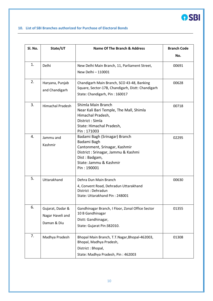

## **10. List of SBI Branches authorized for Purchase of Electoral Bonds**

| SI. No. | State/UT                                            | Name Of The Branch & Address                                                                                                                                                  | <b>Branch Code</b> |
|---------|-----------------------------------------------------|-------------------------------------------------------------------------------------------------------------------------------------------------------------------------------|--------------------|
|         |                                                     |                                                                                                                                                                               | No.                |
| 1.      | Delhi                                               | New Delhi Main Branch, 11, Parliament Street,<br>New Delhi - 110001                                                                                                           | 00691              |
| 2.      | Haryana, Punjab<br>and Chandigarh                   | Chandigarh Main Branch, SCO 43-48, Banking<br>Square, Sector-17B, Chandigarh, Distt: Chandigarh<br>State: Chandigarh, Pin: 160017                                             | 00628              |
| 3.      | <b>Himachal Pradesh</b>                             | Shimla Main Branch<br>Near Kali Bari Temple, The Mall, Shimla<br>Himachal Pradesh,<br>District: Simla<br>State: Himachal Pradesh,<br>Pin: 171003                              | 00718              |
| 4.      | Jammu and<br>Kashmir                                | Badami Bagh (Srinagar) Branch<br>Badami Bagh<br>Cantonment, Srinagar, Kashmir<br>District: Srinagar, Jammu & Kashmi<br>Dist: Badgam,<br>State: Jammu & Kashmir<br>Pin: 190001 | 02295              |
| 5.      | Uttarakhand                                         | Dehra Dun Main Branch<br>4, Convent Road, Dehradun Uttarakhand<br>District: Dehradun<br>State: Uttarakhand Pin: 248001                                                        | 00630              |
| 6.      | Gujarat, Dadar &<br>Nagar Haveli and<br>Daman & Diu | Gandhinagar Branch, I Floor, Zonal Office Sector<br>10 B Gandhinagar<br>Distt: Gandhinagar,<br>State: Gujarat Pin:382010.                                                     | 01355              |
| 7.      | Madhya Pradesh                                      | Bhopal Main Branch, T.T.Nagar, Bhopal-462003,<br>Bhopal, Madhya Pradesh,<br>District: Bhopal,<br>State: Madhya Pradesh, Pin: 462003                                           | 01308              |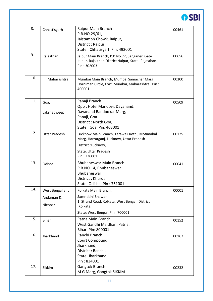

| 8.  | Chhattisgarh         | Raipur Main Branch<br>P.B.NO.29/61,<br>Jaistambh Chowk, Raipur,<br>District: Raipur<br>State: Chhatisgarh Pin: 492001                                           | 00461 |
|-----|----------------------|-----------------------------------------------------------------------------------------------------------------------------------------------------------------|-------|
| 9.  | Rajasthan            | Jaipur Main Branch, P.B.No.72, Sanganeri Gate<br>Jaipur, Rajasthan District : Jaipur, State: Rajasthan.<br>Pin: 302003                                          | 00656 |
| 10. | Maharashtra          | Mumbai Main Branch, Mumbai Samachar Marg<br>Horniman Circle, Fort, Mumbai, Maharashtra Pin:<br>400001                                                           | 00300 |
| 11. | Goa,<br>Lakshadweep  | Panaji Branch<br>Opp: Hotel Mandovi, Dayanand,<br>Dayanand Bandodkar Marg,<br>Panaji, Goa.<br>District: North Goa,<br>State: Goa, Pin: 403001                   | 00509 |
| 12. | <b>Uttar Pradesh</b> | Lucknow Main Branch, Tarawali Kothi, Motimahal<br>Marg, Hazratganj, Lucknow, Uttar Pradesh<br>District : Lucknow,<br><b>State: Uttar Pradesh</b><br>Pin: 226001 | 00125 |
| 13. | Odisha               | Bhubaneswar Main Branch<br>P.B.NO.14, Bhubaneswar<br>Bhubaneswar<br>District: Khurda<br>State: Odisha, Pin: 751001                                              | 00041 |
| 14. | West Bengal and      | Kolkata Main Branch,                                                                                                                                            | 00001 |
|     | Andaman &<br>Nicobar | Samriddhi Bhawan<br>1, Strand Road, Kolkata, West Bengal, District<br>:Kolkata.                                                                                 |       |
|     |                      | State: West Bengal. Pin: 700001                                                                                                                                 |       |
| 15. | <b>Bihar</b>         | Patna Main Branch<br>West Gandhi Maidhan, Patna,<br>Bihar. Pin: 800001                                                                                          | 00152 |
| 16. | Jharkhand            | Ranchi Branch<br>Court Compound,<br>Jharkhand,<br>District: Ranchi,<br>State: Jharkhand,<br>Pin: 834001                                                         | 00167 |
| 17. | Sikkim               | Gangtok Branch<br>M G Marg, Gangtok SIKKIM                                                                                                                      | 00232 |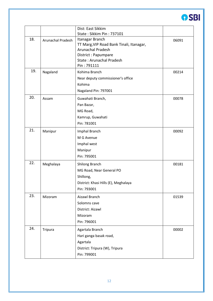

|     |                   | Dist: East Sikkim<br>State: Sikkim Pin: 737101                                                                                                            |       |
|-----|-------------------|-----------------------------------------------------------------------------------------------------------------------------------------------------------|-------|
| 18. | Arunachal Pradesh | Itanagar Branch<br>TT Marg, VIP Road Bank Tinali, Itanagar,<br>Arunachal Pradesh<br>District: Papumpare<br><b>State: Arunachal Pradesh</b><br>Pin: 791111 | 06091 |
| 19. | Nagaland          | Kohima Branch<br>Near deputy commissioner's office<br>Kohima<br>Nagaland Pin: 797001                                                                      | 00214 |
| 20. | Assam             | Guwahati Branch,<br>Pan Bazar,<br>MG Road,<br>Kamrup, Guwahati<br>Pin: 781001                                                                             | 00078 |
| 21. | Manipur           | Imphal Branch<br>M G Avenue<br>Imphal west<br>Manipur<br>Pin: 795001                                                                                      | 00092 |
| 22. | Meghalaya         | Shilong Branch<br>MG Road, Near General PO<br>Shillong,<br>District: Khasi Hills (E), Meghalaya<br>Pin: 793001                                            | 00181 |
| 23. | Mizoram           | Aizawl Branch<br>Solomns cave<br>District: Aizawl<br>Mizoram<br>Pin: 796001                                                                               | 01539 |
| 24. | Tripura           | Agartala Branch<br>Hari ganga basak road,<br>Agartala<br>District: Tripura (W), Tripura<br>Pin: 799001                                                    | 00002 |